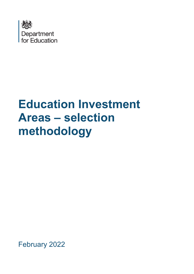

# **Education Investment Areas – selection methodology**

February 2022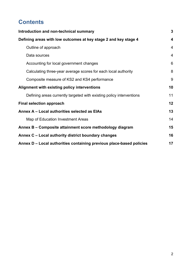# **Contents**

| Introduction and non-technical summary                               | $\mathbf{3}$   |
|----------------------------------------------------------------------|----------------|
| Defining areas with low outcomes at key stage 2 and key stage 4      | 4              |
| Outline of approach                                                  | $\overline{4}$ |
| Data sources                                                         | $\overline{4}$ |
| Accounting for local government changes                              | 6              |
| Calculating three-year average scores for each local authority       | 8              |
| Composite measure of KS2 and KS4 performance                         | 9              |
| Alignment with existing policy interventions                         | 10             |
| Defining areas currently targeted with existing policy interventions | 11             |
| <b>Final selection approach</b>                                      | 12             |
| Annex A - Local authorities selected as EIAs                         | 13             |
| Map of Education Investment Areas                                    | 14             |
| Annex B – Composite attainment score methodology diagram             | 15             |
| Annex C - Local authority district boundary changes                  | 16             |
| Annex D - Local authorities containing previous place-based policies | 17             |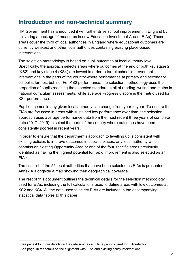# <span id="page-2-0"></span>**Introduction and non-technical summary**

HM Government has announced it will further drive school improvement in England by delivering a package of measures in new Education Investment Areas (EIAs). These areas cover the third of local authorities in England where educational outcomes are currently weakest and other local authorities containing existing place-based interventions.

The selection methodology is based on pupil outcomes at local authority level. Specifically, the approach selects areas where outcomes at the end of both key stage 2 (KS2) and key stage 4 (KS4) are lowest in order to target school improvement interventions in the parts of the country where performance at primary and secondary school is furthest behind. For KS2 performance, the selection methodology uses the proportion of pupils reaching the expected standard in all of reading, writing and maths in national curriculum assessments, while average Progress 8 score is the metric used for KS4 performance.

Pupil outcomes in any given local authority can change from year to year. To ensure that EIAs are focussed in areas with sustained low performance over time, the selection approach uses average performance data from the most recent three years of complete data (2017–2019) to select the parts of the country where outcomes have been consistently poorest in recent years. [1](#page-2-1)

In order to ensure that the department's approach to levelling up is consistent with existing policies to improve outcomes in specific places, any local authority which contains an existing Opportunity Area or one of the four specific areas previously identified as having the highest potential for rapid improvement is also selected as an  $FIA<sup>2</sup>$  $FIA<sup>2</sup>$  $FIA<sup>2</sup>$ 

The final list of the 55 local authorities that have been selected as EIAs is presented in Annex A alongside a map showing their geographical coverage.

The rest of this document outlines the technical details for the selection methodology used for EIAs, including the full calculations used to define areas with low outcomes at KS2 and KS4. All the data used to select EIAs are included in the accompanying statistical data tables to this paper.

<span id="page-2-1"></span><sup>1</sup> See page [4](#page-3-2) for more details on the data sources and time periods used for EIA selection

<span id="page-2-2"></span><sup>2</sup> See page [10](#page-9-0) for details on the alignment with EIAs and existing policy interventions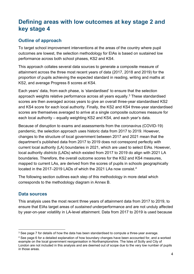# <span id="page-3-0"></span>**Defining areas with low outcomes at key stage 2 and key stage 4**

## <span id="page-3-1"></span>**Outline of approach**

To target school improvement interventions at the areas of the country where pupil outcomes are lowest, the selection methodology for EIAs is based on sustained low performance across both school phases, KS2 and KS4.

This approach collates several data sources to generate a composite measure of attainment across the three most recent years of data (2017, 2018 and 2019) for the proportion of pupils achieving the expected standard in reading, writing and maths at KS2, and average Progress 8 scores at KS4.

Each years' data, from each phase, is 'standardised' to ensure that the selection approach weights relative performance across all years equally. [3](#page-3-3) These standardised scores are then averaged across years to give an overall three-year standardised KS2 and KS4 score for each local authority. Finally, the KS2 and KS4 three-year standardised scores are themselves averaged to arrive at a single composite outcomes measure for each local authority – equally weighting KS2 and KS4, and each year's data.

Because of disruption to exams and assessments from the coronavirus (COVID-19) pandemic, the selection approach uses historic data from 2017 to 2019. However, changes to the structure of local government between 2017 and 2021 mean that the department's published data from 2017 to 2019 does not correspond perfectly with current local authority (LA) boundaries in 2021, which are used to select EIAs. However, local authority *districts* (LADs) which existed from 2017 to 2019 do align with 2021 LA boundaries. Therefore, the overall outcome scores for the KS2 and KS4 measures, mapped to current LAs, are derived from the scores of pupils in schools geographically located in the 2017–2019 LADs of which the 2021 LAs now consist.<sup>4</sup>

The following section outlines each step of this methodology in more detail which corresponds to the methodology diagram in Annex B.

## <span id="page-3-2"></span>**Data sources**

This analysis uses the most recent three years of attainment data from 2017 to 2019, to ensure that EIAs target areas of *sustained* underperformance and are not unduly affected by year-on-year volatility in LA-level attainment. Data from 2017 to 2019 is used because

<span id="page-3-3"></span><sup>&</sup>lt;sup>3</sup> See page [7](#page-7-0) for details of how the data has been standardised to compute a three-year average.

<span id="page-3-4"></span><sup>4</sup> See page [6](#page-5-0) for a detailed explanation of how boundary changes have been accounted for, and a worked example on the local government reorganisation in Northamptonshire. The Isles of Scilly and City of London are not included in this analysis and are deemed out of scope due to the very low number of pupils in those areas.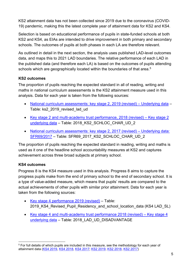KS2 attainment data has not been collected since 2019 due to the coronavirus (COVID-19) pandemic, making this the latest complete year of attainment data for KS2 and KS4.

Selection is based on educational performance of pupils in state-funded schools at both KS2 and KS4, as EIAs are intended to drive improvement in both primary and secondary schools. The outcomes of pupils at both phases in each LA are therefore relevant.

As outlined in detail in the next section, the analysis uses published LAD-level outcomes data, and maps this to 2021 LAD boundaries. The relative performance of each LAD in the published data (and therefore each LA) is based on the outcomes of pupils attending schools which are geographically located within the boundaries of that area. [5](#page-4-0)

## **KS2 outcomes**

The proportion of pupils reaching the expected standard in all of reading, writing and maths in national curriculum assessments is the KS2 attainment measure used in this analysis. Data for each year is taken from the following sources:

- [National curriculum assessments: key stage 2, 2019 \(revised\) Underlying data](https://assets.publishing.service.gov.uk/government/uploads/system/uploads/attachment_data/file/851781/Underlying_data.zip)  Table: ks2\_2019\_revised\_lad\_ud
- [Key stage 2 and multi-academy trust performance, 2018 \(revised\) Key stage 2](https://assets.publishing.service.gov.uk/government/uploads/system/uploads/attachment_data/file/774449/Key_stage_2_underlying_data.zip)  [underlying data](https://assets.publishing.service.gov.uk/government/uploads/system/uploads/attachment_data/file/774449/Key_stage_2_underlying_data.zip) – Table: 2018\_KS2\_SCHLOC\_CHAR\_UD\_2
- [National curriculum assessments: key stage 2, 2017 \(revised\) Underlying data:](https://assets.publishing.service.gov.uk/government/uploads/system/uploads/attachment_data/file/725214/UnderlyingData_Excel_SFR692017.zip)  [SFR69/2017](https://assets.publishing.service.gov.uk/government/uploads/system/uploads/attachment_data/file/725214/UnderlyingData_Excel_SFR692017.zip) – Table: SFR69\_2017\_KS2\_SCHLOC\_CHAR\_UD\_2

The proportion of pupils reaching the expected standard in reading, writing and maths is used as it one of the headline school accountability measures at KS2 and captures achievement across three broad subjects at primary school.

## **KS4 outcomes**

Progress 8 is the KS4 measure used in this analysis. Progress 8 aims to capture the progress pupils make from the end of primary school to the end of secondary school. It is a type of value-added measure, which means that pupils' results are compared to the actual achievements of other pupils with similar prior attainment. Data for each year is taken from the following sources:

- [Key stage 4 performance 2019 \(revised\)](https://assets.publishing.service.gov.uk/government/uploads/system/uploads/attachment_data/file/867045/2019_KS4_Revised_Pupil_Residency_and_school_location_data.xlsx)  Table: 2019 KS4 Revised Pupil Residency and school location data (KS4 LAD SL)
- [Key stage 4 and multi-academy trust performance 2018 \(revised\) Key stage 4](https://assets.publishing.service.gov.uk/government/uploads/system/uploads/attachment_data/file/806279/2018_KS4_underlying_data_updatedJune2019.zip)  [underlying data](https://assets.publishing.service.gov.uk/government/uploads/system/uploads/attachment_data/file/806279/2018_KS4_underlying_data_updatedJune2019.zip) - Table: 2018 LAD UD DISADVANTAGE

<span id="page-4-0"></span><sup>5</sup> For full details of which pupils are included in this measure, see the methodology for each year of attainment data [\(KS4 2019,](https://assets.publishing.service.gov.uk/government/uploads/system/uploads/attachment_data/file/863129/2019_KS4_Revised_Methodology.pdf) [KS4 2018,](https://assets.publishing.service.gov.uk/government/uploads/system/uploads/attachment_data/file/772862/2018_Key_stage_4_Methodology.pdf) [KS4 2017;](https://assets.publishing.service.gov.uk/government/uploads/system/uploads/attachment_data/file/676213/SFR01_2018_QualityandMethodology.pdf) [KS2 2019,](https://assets.publishing.service.gov.uk/government/uploads/system/uploads/attachment_data/file/862743/KS2_Revised_publication_Q_M_2019_.pdf) [KS2 2018,](https://assets.publishing.service.gov.uk/government/uploads/system/uploads/attachment_data/file/763949/Key_stage_2_methodology.pdf) [KS2 2017\)](https://assets.publishing.service.gov.uk/government/uploads/system/uploads/attachment_data/file/666960/SFR69_2017_Qualityandmethodology.pdf)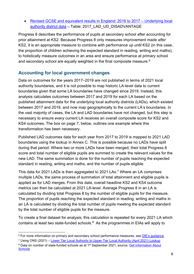• [Revised GCSE and equivalent results in England: 2016 to 2017 – Underlying local](https://assets.publishing.service.gov.uk/government/uploads/system/uploads/attachment_data/file/781031/2017_Underlying_LAD_Data_update.zip)  [authority district data](https://assets.publishing.service.gov.uk/government/uploads/system/uploads/attachment_data/file/781031/2017_Underlying_LAD_Data_update.zip) – Table: 2017\_LAD\_UD\_DISADVANTAGE

Progress 8 describes the performance of pupils at secondary school after accounting for prior attainment at KS2. Because Progress 8 only measures improvement made *after* KS2, it is an appropriate measure to combine with performance *up until* KS2 (in this case, the proportion of children achieving the expected standard in reading, writing and maths), to holistically measure outcomes in an area and ensure performance at primary school and secondary school are equally weighted in the final composite measure. $^6$  $^6$ 

## <span id="page-5-0"></span>**Accounting for local government changes**

Data on outcomes for the years 2017–2019 are not published in terms of 2021 local authority boundaries, and it is not possible to map historic LA-level data to current boundaries given that some LA boundaries have changed since 2019. Instead, this analysis calculates outcomes between 2017 and 2019 for each LA based on the published attainment data for the *underlying* local authority districts (LADs), which existed between 2017 and 2019, and now map geographically to the current LA's boundaries. In the vast majority of cases, the LA and LAD boundaries have not changed, but this step is necessary to ensure *every* current LA receives an overall composite score for KS2 and KS4 outcomes. The box [on page 7,](#page-6-0) below, outlines one example where this transformation has been necessary.

Published LAD outcomes data for each year from 2017 to 2019 is mapped to 2021 LAD boundaries using the lookup in Annex C. This is possible because no LADs have split during that period. Where two or more LADs have been merged, their total Progress 8 score and total number of eligible pupils are summed to create the relevant values for the new LAD. The same summation is done for the number of pupils reaching the expected standard in reading, writing and maths, and the number of pupils eligible.

This data for 2021 LADs is then aggregated to 2021 LAs.[7](#page-5-2) Where an LA comprises multiple LADs, the same process of summation of total attainment and eligible pupils is applied as for LAD merges. From this data, overall headline KS2 and KS4 outcome metrics can then be calculated at 2021 LA-level. Average Progress 8 in an LA is calculated by dividing total Progress 8 by the number of eligible pupils for the measure. The proportion of pupils reaching the expected standard in reading, writing and maths in an LA is calculated by dividing the total number of pupils meeting the expected standard by the total number of eligible pupils for the measure.

To create a final dataset for analysis, this calculation is repeated for every 2021 LA which contains at least two state-funded schools. [8](#page-5-3) As the programmes in EIAs will apply to

<span id="page-5-1"></span><sup>&</sup>lt;sup>6</sup> For more information on primary and secondary school performance measures, see DfE's quidance

<span id="page-5-2"></span><sup>7</sup> Using ONS (2021) – [Lower Tier Local Authority to Upper Tier Local Authority \(April 2021\) Lookup](https://geoportal.statistics.gov.uk/datasets/lower-tier-local-authority-to-upper-tier-local-authority-april-2021-lookup-in-england-and-wales/explore)

<span id="page-5-3"></span><sup>8</sup> Data on number of state-funded schools as at 1<sup>st</sup> September 2021, source: Get Information About **[Schools](https://www.get-information-schools.service.gov.uk/)**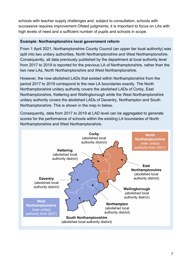schools with teacher supply challenges and, subject to consultation, schools with successive requires improvement Ofsted judgments; it is important to focus on LAs with high levels of need and a sufficient number of pupils and schools in scope.

#### <span id="page-6-0"></span>**Example: Northamptonshire local government reform**

From 1 April 2021, Northamptonshire County Council (an upper tier local authority) was split into two unitary authorities, North Northamptonshire and West Northamptonshire. Consequently, all data previously published by the department at local authority level from 2017 to 2019 is reported for the previous LA of Northamptonshire, rather than the two new LAs, North Northamptonshire and West Northamptonshire.

However, the now-abolished LADs that existed within Northamptonshire from the period 2017 to 2019 correspond to the new LA boundaries exactly. The North Northamptonshire unitary authority covers the abolished LADs of Corby, East Northamptonshire, Kettering and Wellingborough while the West Northamptonshire unitary authority covers the abolished LADs of Daventry, Northampton and South Northamptonshire. This is shown in the map in below.

Consequently, data from 2017 to 2019 at LAD level can be aggregated to generate scores for the performance of schools within the existing LA boundaries of North Northamptonshire and West Northamptonshire.

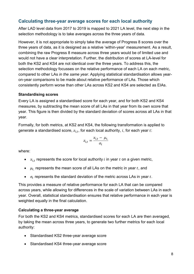## <span id="page-7-0"></span>**Calculating three-year average scores for each local authority**

After LAD level data from 2017 to 2019 is mapped to 2021 LA level, the next step in the selection methodology is to take averages across the three years of data.

However, it is not appropriate to simply take the average of Progress 8 scores over the three years of data, as it is designed as a relative 'within-year' measurement. As a result, combining the raw Progress 8 measure across three years would be of limited use and would not have a clear interpretation. Further, the distribution of scores at LA-level for both the KS2 and KS4 are not identical over the three years. To address this, the selection methodology focusses on the relative performance of each LA on each metric, compared to other LAs *in the same year*. Applying statistical standardisation allows yearon-year comparisons to be made about relative performance of LAs. Those which consistently perform worse than other LAs across KS2 and KS4 are selected as EIAs.

#### **Standardising scores**

Every LA is assigned a standardised score for each year, and for both KS2 and KS4 measures, by subtracting the mean score of all LAs in that year from its own score that year. This figure is then divided by the standard deviation of scores across all LAs in that year.

Formally, for both metrics, at KS2 and KS4, the following transformation is applied to generate a standardised score,  $z_{it}$ , for each local authority, i, for each year t:

$$
z_{i,t} = \frac{x_{i,t} - \mu_t}{\sigma_t}
$$

where:

- $x_{i,t}$  represents the score for local authority *i* in year *t* on a given metric,
- $\mu_t$  represents the mean score of all LAs on the metric in year t, and
- $\sigma_t$  represents the standard deviation of the metric across LAs in year t.

This provides a measure of relative performance for each LA that can be compared across years, while allowing for differences in the scale of variation between LAs in each year. Overall, statistical standardisation ensures that relative performance in each year is weighted equally in the final calculation.

#### **Calculating a three-year average**

For both the KS2 and KS4 metrics, standardised scores for each LA are then averaged, by taking the mean across three years, to generate two further metrics for each local authority:

- Standardised KS2 three-year average score
- Standardised KS4 three-year average score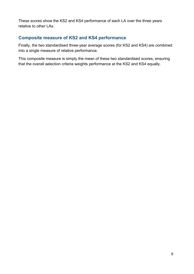These scores show the KS2 and KS4 performance of each LA over the three years relative to other LAs.

## <span id="page-8-0"></span>**Composite measure of KS2 and KS4 performance**

Finally, the two standardised three-year average scores (for KS2 and KS4) are combined into a single measure of relative performance.

This composite measure is simply the mean of these two standardised scores, ensuring that the overall selection criteria weights performance at the KS2 and KS4 equally.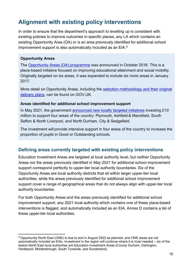# <span id="page-9-0"></span>**Alignment with existing policy interventions**

In order to ensure that the department's approach to levelling up is consistent with existing policies to improve outcomes in specific places, any LA which contains an existing Opportunity Area (OA) or is an area previously identified for additional school improvement support is also automatically included as an EIA. [9](#page-9-2) 

#### **Opportunity Areas**

The [Opportunity Areas \(OA\) programme](https://www.gov.uk/government/news/social-mobility-package-unveiled-by-education-secretary) was announced in October 2016. This is a place-based initiative focused on improving educational attainment and social mobility. Originally targeted on six areas, it was expanded to include six more areas in January 2017.

More detail on Opportunity Areas, including the [selection methodology and their original](https://www.gov.uk/government/publications/social-mobility-and-opportunity-areas)  [delivery plans,](https://www.gov.uk/government/publications/social-mobility-and-opportunity-areas) can be found on GOV.UK.

#### **Areas identified for additional school improvement support**

In May 2021, the government [announced new locally targeted initiatives](https://www.gov.uk/government/news/more-support-for-local-areas-to-drive-up-school-standards) investing £10 million to support four areas of the country: Plymouth, Ashfield & Mansfield, South Sefton & North Liverpool, and North Durham, City & Sedgefield.

The investment will provide intensive support in four areas of the country to increase the proportion of pupils in Good or Outstanding schools.

## <span id="page-9-1"></span>**Defining areas currently targeted with existing policy interventions**

Education Investment Areas are targeted at local authority level, but neither Opportunity Areas nor the areas previously identified in May 2021 for additional school improvement support correspond perfectly to upper-tier local authority boundaries. Six of the Opportunity Areas are local authority districts that sit within larger upper-tier local authorities, while the areas previously identified for additional school improvement support cover a range of geographical areas that do not always align with upper-tier local authority boundaries.

For both Opportunity Areas and the areas previously identified for additional school improvement support, any 2021 local authority which contains one of these place-based interventions is flagged, and automatically included as an EIA. Annex D contains a list of these upper-tier local authorities.

<span id="page-9-2"></span><sup>9</sup> Opportunity North East (ONE) is due to end in August 2022 as planned, and ONE areas are not automatically included as EIAs. Investment in the region will continue where it is most needed – six of the twelve North East local authorities are Education Investment Areas (County Durham, Darlington, Hartlepool, Middlesbrough, South Tyneside, and Sunderland).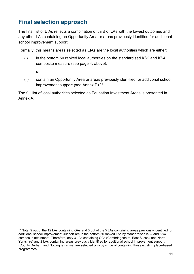# <span id="page-10-0"></span>**Final selection approach**

The final list of EIAs reflects a combination of third of LAs with the lowest outcomes and any other LAs containing an Opportunity Area or areas previously identified for additional school improvement support.

Formally, this means areas selected as EIAs are the local authorities which are either:

(i) in the bottom 50 ranked local authorities on the standardised KS2 and KS4 composite measure (see page [4,](#page-3-0) above);

**or**

(ii) contain an Opportunity Area or areas previously identified for additional school improvement support (see Annex D).<sup>[10](#page-10-1)</sup>

The full list of local authorities selected as Education Investment Areas is presented in Annex A.

<span id="page-10-1"></span><sup>10</sup> Note: 9 out of the 12 LAs containing OAs and 3 out of the 5 LAs containing areas previously identified for additional school improvement support are in the bottom 50 ranked LAs by standardised KS2 and KS4 composite attainment. Therefore, only 3 LAs containing OAs (Cambridgeshire, East Sussex and North Yorkshire) and 2 LAs containing areas previously identified for additional school improvement support (County Durham and Nottinghamshire) are selected *only* by virtue of containing those existing place-based programmes.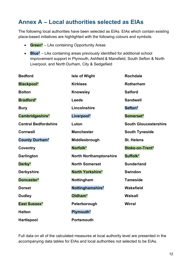# <span id="page-11-0"></span>**Annex A – Local authorities selected as EIAs**

The following local authorities have been selected as EIAs. EIAs which contain existing place-based initiatives are highlighted with the following colours and symbols:

- **Green\*** LAs containing Opportunity Areas
- **Blue†** LAs containing areas previously identified for additional school improvement support in Plymouth, Ashfield & Mansfield, South Sefton & North Liverpool, and North Durham, City & Sedgefield

| <b>Bedford</b>              | <b>Isle of Wight</b>          | <b>Rochdale</b>              |
|-----------------------------|-------------------------------|------------------------------|
| <b>Blackpool*</b>           | <b>Kirklees</b>               | <b>Rotherham</b>             |
| <b>Bolton</b>               | <b>Knowsley</b>               | <b>Salford</b>               |
| <b>Bradford*</b>            | <b>Leeds</b>                  | <b>Sandwell</b>              |
| <b>Bury</b>                 | Lincolnshire                  | Sefton <sup>t</sup>          |
| Cambridgeshire*             | Liverpool <sup>t</sup>        | Somerset*                    |
| <b>Central Bedfordshire</b> | Luton                         | <b>South Gloucestershire</b> |
| <b>Cornwall</b>             | <b>Manchester</b>             | <b>South Tyneside</b>        |
| County Durham <sup>t</sup>  | Middlesbrough                 | <b>St. Helens</b>            |
| Coventry                    | Norfolk*                      | Stoke-on-Trent*              |
| <b>Darlington</b>           | <b>North Northamptonshire</b> | Suffolk*                     |
| Derby*                      | <b>North Somerset</b>         | <b>Sunderland</b>            |
| <b>Derbyshire</b>           | North Yorkshire*              | <b>Swindon</b>               |
| Doncaster*                  | Nottingham                    | <b>Tameside</b>              |
| <b>Dorset</b>               | Nottinghamshire <sup>t</sup>  | Wakefield                    |
| <b>Dudley</b>               | Oldham*                       | <b>Walsall</b>               |
| East Sussex*                | Peterborough                  | <b>Wirral</b>                |
| <b>Halton</b>               | Plymouth <sup>†</sup>         |                              |
| <b>Hartlepool</b>           | <b>Portsmouth</b>             |                              |

Full data on all of the calculated measures at local authority level are presented in the accompanying data tables for EIAs and local authorities not selected to be EIAs.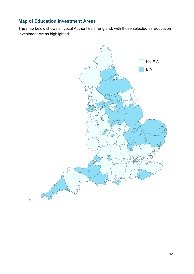# <span id="page-12-0"></span>**Map of Education Investment Areas**

The map below shows all Local Authorities in England, with those selected as Education Investment Areas highlighted.

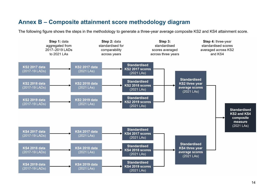## **Annex B – Composite attainment score methodology diagram**

The following figure shows the steps in the methodology to generate a three-year average composite KS2 and KS4 attainment score.

<span id="page-13-0"></span>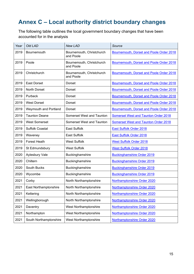# <span id="page-14-0"></span>**Annex C – Local authority district boundary changes**

The following table outlines the local government boundary changes that have been accounted for in the analysis

| Year | <b>Old LAD</b>         | <b>New LAD</b>                         | Source                                      |
|------|------------------------|----------------------------------------|---------------------------------------------|
| 2019 | Bournemouth            | Bournemouth, Christchurch<br>and Poole | Bournemouth, Dorset and Poole Order 2018    |
| 2019 | Poole                  | Bournemouth, Christchurch<br>and Poole | Bournemouth, Dorset and Poole Order 2018    |
| 2019 | Christchurch           | Bournemouth, Christchurch<br>and Poole | Bournemouth, Dorset and Poole Order 2018    |
| 2019 | <b>East Dorset</b>     | Dorset                                 | Bournemouth, Dorset and Poole Order 2018    |
| 2019 | <b>North Dorset</b>    | Dorset                                 | Bournemouth, Dorset and Poole Order 2018    |
| 2019 | Purbeck                | Dorset                                 | Bournemouth, Dorset and Poole Order 2018    |
| 2019 | <b>West Dorset</b>     | Dorset                                 | Bournemouth, Dorset and Poole Order 2018    |
| 2019 | Weymouth and Portland  | Dorset                                 | Bournemouth, Dorset and Poole Order 2018    |
| 2019 | <b>Taunton Deane</b>   | Somerset West and Taunton              | <b>Somerset West and Taunton Order 2018</b> |
| 2019 | <b>West Somerset</b>   | Somerset West and Taunton              | <b>Somerset West and Taunton Order 2018</b> |
| 2019 | <b>Suffolk Coastal</b> | <b>East Suffolk</b>                    | East Suffolk Order 2018                     |
| 2019 | Waveney                | <b>East Suffolk</b>                    | East Suffolk Order 2018                     |
| 2019 | <b>Forest Heath</b>    | <b>West Suffolk</b>                    | <b>West Suffolk Order 2018</b>              |
| 2019 | St Edmundsbury         | <b>West Suffolk</b>                    | <b>West Suffolk Order 2018</b>              |
| 2020 | Aylesbury Vale         | Buckinghamshire                        | <b>Buckinghamshire Order 2019</b>           |
| 2020 | Chiltern               | Buckinghamshire                        | <b>Buckinghamshire Order 2019</b>           |
| 2020 | South Bucks            | Buckinghamshire                        | <b>Buckinghamshire Order 2019</b>           |
| 2020 | Wycombe                | Buckinghamshire                        | <b>Buckinghamshire Order 2019</b>           |
| 2021 | Corby                  | North Northamptonshire                 | <b>Northamptonshire Order 2020</b>          |
| 2021 | East Northamptonshire  | North Northamptonshire                 | Northamptonshire Order 2020                 |
| 2021 | Kettering              | North Northamptonshire                 | Northamptonshire Order 2020                 |
| 2021 | Wellingborough         | North Northamptonshire                 | Northamptonshire Order 2020                 |
| 2021 | Daventry               | West Northamptonshire                  | Northamptonshire Order 2020                 |
| 2021 | Northampton            | West Northamptonshire                  | Northamptonshire Order 2020                 |
| 2021 | South Northamptonshire | West Northamptonshire                  | Northamptonshire Order 2020                 |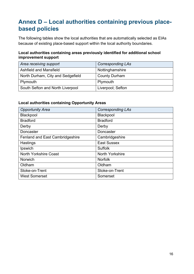# <span id="page-15-0"></span>**Annex D – Local authorities containing previous placebased policies**

The following tables show the local authorities that are automatically selected as EIAs because of existing place-based support within the local authority boundaries.

#### **Local authorities containing areas previously identified for additional school improvement support**

| Area receiving support            | <b>Corresponding LAs</b> |
|-----------------------------------|--------------------------|
| Ashfield and Mansfield            | Nottinghamshire          |
| North Durham, City and Sedgefield | <b>County Durham</b>     |
| Plymouth                          | Plymouth                 |
| South Sefton and North Liverpool  | Liverpool; Sefton        |

#### **Local authorities containing Opportunity Areas**

| <b>Opportunity Area</b>                | <b>Corresponding LAs</b> |
|----------------------------------------|--------------------------|
| Blackpool                              | <b>Blackpool</b>         |
| <b>Bradford</b>                        | <b>Bradford</b>          |
| Derby                                  | Derby                    |
| Doncaster                              | Doncaster                |
| <b>Fenland and East Cambridgeshire</b> | Cambridgeshire           |
| Hastings                               | <b>East Sussex</b>       |
| Ipswich                                | <b>Suffolk</b>           |
| <b>North Yorkshire Coast</b>           | North Yorkshire          |
| Norwich                                | <b>Norfolk</b>           |
| Oldham                                 | Oldham                   |
| Stoke-on-Trent                         | Stoke-on-Trent           |
| <b>West Somerset</b>                   | Somerset                 |